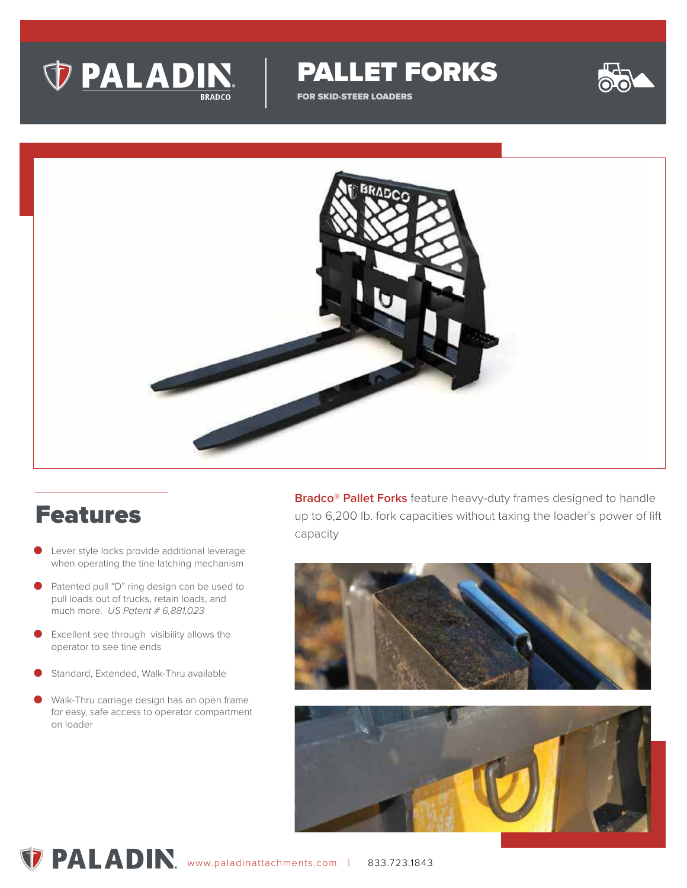

PALLET FORKS

FOR SKID-STEER LOADERS





## Features

- Lever style locks provide additional leverage when operating the tine latching mechanism
- Patented pull "D" ring design can be used to pull loads out of trucks, retain loads, and much more. US Patent # 6,881,023
- Excellent see through visibility allows the operator to see tine ends
- Standard, Extended, Walk-Thru available
- Walk-Thru carriage design has an open frame for easy, safe access to operator compartment on loader

**Bradco® Pallet Forks** feature heavy-duty frames designed to handle up to 6,200 lb. fork capacities without taxing the loader's power of lift capacity